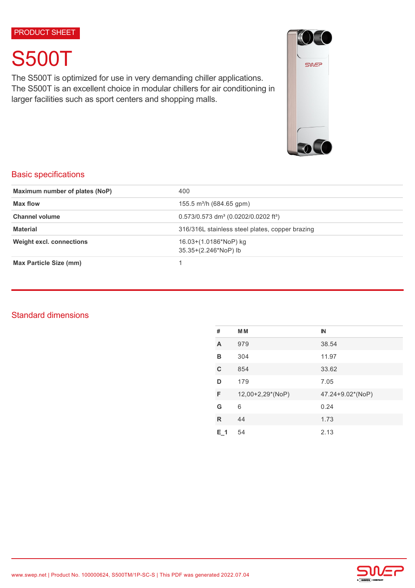PRODUCT SHEET

# S500T

The S500T is optimized for use in very demanding chiller applications. The S500T is an excellent choice in modular chillers for air conditioning in larger facilities such as sport centers and shopping malls.



# Basic specifications

| Maximum number of plates (NoP)                                                   | 400                                                            |  |
|----------------------------------------------------------------------------------|----------------------------------------------------------------|--|
| Max flow                                                                         | 155.5 m <sup>3</sup> /h (684.65 gpm)                           |  |
| <b>Channel volume</b>                                                            | $0.573/0.573$ dm <sup>3</sup> (0.0202/0.0202 ft <sup>3</sup> ) |  |
| <b>Material</b>                                                                  | 316/316L stainless steel plates, copper brazing                |  |
| <b>Weight excl. connections</b><br>16.03+(1.0186*NoP) kg<br>35.35+(2.246*NoP) lb |                                                                |  |
| <b>Max Particle Size (mm)</b>                                                    |                                                                |  |

# Standard dimensions

| #       | <b>MM</b>        | $\mathbb{N}$     |
|---------|------------------|------------------|
| A       | 979              | 38.54            |
| в       | 304              | 11.97            |
| C       | 854              | 33.62            |
| D       | 179              | 7.05             |
| F       | 12,00+2,29*(NoP) | 47.24+9.02*(NoP) |
| G       | 6                | 0.24             |
| R       | 44               | 1.73             |
| $E_1$ 1 | 54               | 2.13             |